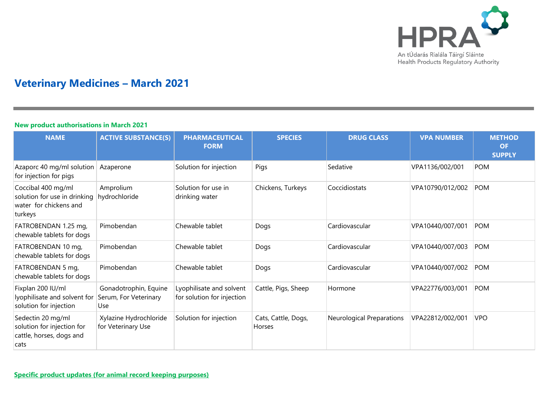

# **Veterinary Medicines – March 2021**

## **New product authorisations in March 2021**

| <b>NAME</b>                                                                             | <b>ACTIVE SUBSTANCE(S)</b>                            | <b>PHARMACEUTICAL</b><br><b>FORM</b>                   | <b>SPECIES</b>                | <b>DRUG CLASS</b>         | <b>VPA NUMBER</b> | <b>METHOD</b><br><b>OF</b><br><b>SUPPLY</b> |
|-----------------------------------------------------------------------------------------|-------------------------------------------------------|--------------------------------------------------------|-------------------------------|---------------------------|-------------------|---------------------------------------------|
| Azaporc 40 mg/ml solution<br>for injection for pigs                                     | Azaperone                                             | Solution for injection                                 | Pigs                          | Sedative                  | VPA1136/002/001   | <b>POM</b>                                  |
| Coccibal 400 mg/ml<br>solution for use in drinking<br>water for chickens and<br>turkeys | Amprolium<br>hydrochloride                            | Solution for use in<br>drinking water                  | Chickens, Turkeys             | Coccidiostats             | VPA10790/012/002  | POM                                         |
| FATROBENDAN 1.25 mg,<br>chewable tablets for dogs                                       | Pimobendan                                            | Chewable tablet                                        | Dogs                          | Cardiovascular            | VPA10440/007/001  | <b>POM</b>                                  |
| FATROBENDAN 10 mg,<br>chewable tablets for dogs                                         | Pimobendan                                            | Chewable tablet                                        | Dogs                          | Cardiovascular            | VPA10440/007/003  | <b>POM</b>                                  |
| FATROBENDAN 5 mg,<br>chewable tablets for dogs                                          | Pimobendan                                            | Chewable tablet                                        | Dogs                          | Cardiovascular            | VPA10440/007/002  | <b>POM</b>                                  |
| Fixplan 200 IU/ml<br>lyophilisate and solvent for<br>solution for injection             | Gonadotrophin, Equine<br>Serum, For Veterinary<br>Use | Lyophilisate and solvent<br>for solution for injection | Cattle, Pigs, Sheep           | Hormone                   | VPA22776/003/001  | <b>POM</b>                                  |
| Sedectin 20 mg/ml<br>solution for injection for<br>cattle, horses, dogs and<br>cats     | Xylazine Hydrochloride<br>for Veterinary Use          | Solution for injection                                 | Cats, Cattle, Dogs,<br>Horses | Neurological Preparations | VPA22812/002/001  | <b>VPO</b>                                  |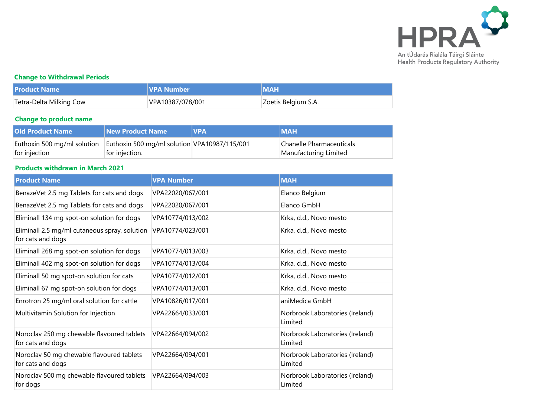

## **Change to Withdrawal Periods**

| <b>Product Name</b>     | <b>VPA Number</b> | <b>MAH</b>          |
|-------------------------|-------------------|---------------------|
| Tetra-Delta Milking Cow | VPA10387/078/001  | Zoetis Belgium S.A. |

## **Change to product name**

| <b>Old Product Name</b>     | <b>New Product Name</b>                      | <b>VPA</b> | <b>MAH</b>               |
|-----------------------------|----------------------------------------------|------------|--------------------------|
| Euthoxin 500 mg/ml solution | Euthoxin 500 mg/ml solution VPA10987/115/001 |            | Chanelle Pharmaceuticals |
| for injection               | for injection.                               |            | Manufacturing Limited    |

#### **Products withdrawn in March 2021**

| <b>Product Name</b>                                                | <b>VPA Number</b> | <b>MAH</b>                                 |
|--------------------------------------------------------------------|-------------------|--------------------------------------------|
| BenazeVet 2.5 mg Tablets for cats and dogs                         | VPA22020/067/001  | Elanco Belgium                             |
| BenazeVet 2.5 mg Tablets for cats and dogs                         | VPA22020/067/001  | Elanco GmbH                                |
| Eliminall 134 mg spot-on solution for dogs                         | VPA10774/013/002  | Krka, d.d., Novo mesto                     |
| Eliminall 2.5 mg/ml cutaneous spray, solution<br>for cats and dogs | VPA10774/023/001  | Krka, d.d., Novo mesto                     |
| Eliminall 268 mg spot-on solution for dogs                         | VPA10774/013/003  | Krka, d.d., Novo mesto                     |
| Eliminall 402 mg spot-on solution for dogs                         | VPA10774/013/004  | Krka, d.d., Novo mesto                     |
| Eliminall 50 mg spot-on solution for cats                          | VPA10774/012/001  | Krka, d.d., Novo mesto                     |
| Eliminall 67 mg spot-on solution for dogs                          | VPA10774/013/001  | Krka, d.d., Novo mesto                     |
| Enrotron 25 mg/ml oral solution for cattle                         | VPA10826/017/001  | aniMedica GmbH                             |
| Multivitamin Solution for Injection                                | VPA22664/033/001  | Norbrook Laboratories (Ireland)<br>Limited |
| Noroclav 250 mg chewable flavoured tablets<br>for cats and dogs    | VPA22664/094/002  | Norbrook Laboratories (Ireland)<br>Limited |
| Noroclav 50 mg chewable flavoured tablets<br>for cats and dogs     | VPA22664/094/001  | Norbrook Laboratories (Ireland)<br>Limited |
| Noroclav 500 mg chewable flavoured tablets<br>for dogs             | VPA22664/094/003  | Norbrook Laboratories (Ireland)<br>Limited |